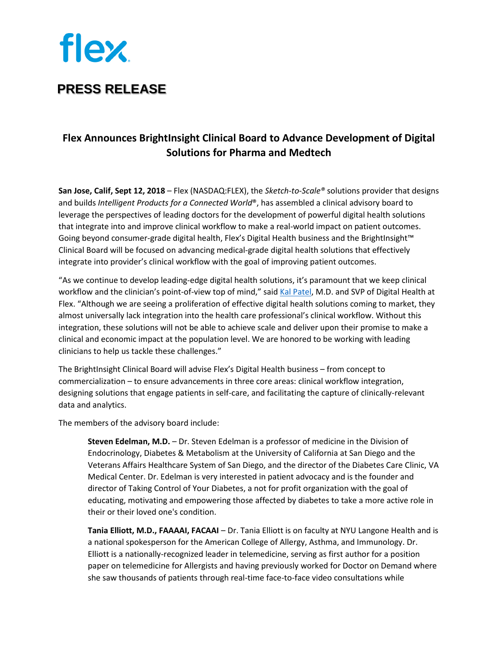

## **PRESS RELEASE**

## **Flex Announces BrightInsight Clinical Board to Advance Development of Digital Solutions for Pharma and Medtech**

**San Jose, Calif, Sept 12, 2018** – Flex (NASDAQ:FLEX), the *Sketch-to-Scale®* solutions provider that designs and builds *Intelligent Products for a Connected World*®, has assembled a clinical advisory board to leverage the perspectives of leading doctors for the development of powerful digital health solutions that integrate into and improve clinical workflow to make a real-world impact on patient outcomes. Going beyond consumer-grade digital health, Flex's Digital Health business and the BrightInsight™ Clinical Board will be focused on advancing medical-grade digital health solutions that effectively integrate into provider's clinical workflow with the goal of improving patient outcomes.

"As we continue to develop leading-edge digital health solutions, it's paramount that we keep clinical workflow and the clinician's point-of-view top of mind," said [Kal Patel,](https://flex.com/newsroom/press-releases/flex-appoints-dr-kal-patel-senior-vice-president-digital-health) M.D. and SVP of Digital Health at Flex. "Although we are seeing a proliferation of effective digital health solutions coming to market, they almost universally lack integration into the health care professional's clinical workflow. Without this integration, these solutions will not be able to achieve scale and deliver upon their promise to make a clinical and economic impact at the population level. We are honored to be working with leading clinicians to help us tackle these challenges."

The BrightInsight Clinical Board will advise Flex's Digital Health business – from concept to commercialization – to ensure advancements in three core areas: clinical workflow integration, designing solutions that engage patients in self-care, and facilitating the capture of clinically-relevant data and analytics.

The members of the advisory board include:

**Steven Edelman, M.D.** – Dr. Steven Edelman is a professor of medicine in the Division of Endocrinology, Diabetes & Metabolism at the University of California at San Diego and the Veterans Affairs Healthcare System of San Diego, and the director of the Diabetes Care Clinic, VA Medical Center. Dr. Edelman is very interested in patient advocacy and is the founder and director of Taking Control of Your Diabetes, a not for profit organization with the goal of educating, motivating and empowering those affected by diabetes to take a more active role in their or their loved one's condition.

**Tania Elliott, M.D., FAAAAI, FACAAI** – Dr. Tania Elliott is on faculty at NYU Langone Health and is a national spokesperson for the American College of Allergy, Asthma, and Immunology. Dr. Elliott is a nationally-recognized leader in telemedicine, serving as first author for a position paper on telemedicine for Allergists and having previously worked for Doctor on Demand where she saw thousands of patients through real-time face-to-face video consultations while